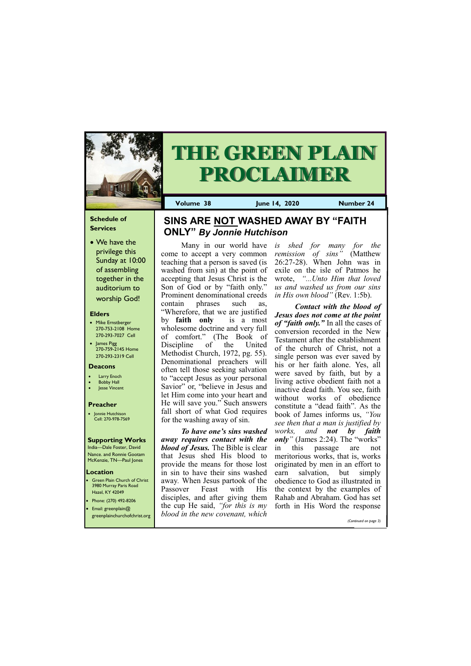#### **Schedule of Services**

• We have the privilege this Sunday at 10:00 of assembling together in the auditorium to worship God!

#### **Elders**

Green Plain Church of Christ 3980 Murray Paris Road Hazel, KY 42049 • Phone: (270) 492-8206

- Mike Ernstberger 270-753-2108 Home 270-293-7027 Cell
- James Pigg 270-759-2145 Home 270-293-2319 Cell

#### **Location**



# **THE GREEN PLAIN PROCLAIMER**

**Volume 38 June 14, 2020 Number 24**

#### **Deacons**

- **Larry Enoch**
- **Bobby Hall**
- **Jesse Vincent**

#### **Preacher**

• Jonnie Hutchison Cell: 270-978-7569

#### **Supporting Works** India—Dale Foster, David

Nance. and Ronnie Gootam McKenzie, TN—Paul Jones

Many in our world have is come to accept a very common teaching that a person is saved (is washed from sin) at the point of accepting that Jesus Christ is the Son of God or by "faith only." Prominent denominational creeds contain phrases such as, "Wherefore, that we are justified by **faith only** is a most wholesome doctrine and very full of comfort." (The Book of Discipline of the United Methodist Church, 1972, pg. 55). Denominational preachers will often tell those seeking salvation to "accept Jesus as your personal Savior" or, "believe in Jesus and let Him come into your heart and He will save you." Such answers fall short of what God requires for the washing away of sin.

*To have one's sins washed away requires contact with the blood of Jesus.* The Bible is clear that Jesus shed His blood to provide the means for those lost in sin to have their sins washed away*.* When Jesus partook of the Passover Feast with His disciples, and after giving them

| <b>•</b> Email: greenplain@<br>greenplainchurchofchrist.org | the cup He said, "for this is my forth in His Word the response<br>blood in the new covenant, which |                       |  |
|-------------------------------------------------------------|-----------------------------------------------------------------------------------------------------|-----------------------|--|
|                                                             |                                                                                                     | (Continued on page 3) |  |

*is shed for many for the remission of sins"* (Matthew 26:27-28). When John was in exile on the isle of Patmos he wrote, *"...Unto Him that loved us and washed us from our sins in His own blood"* (Rev. 1:5b).

*Contact with the blood of Jesus does not come at the point of "faith only."* In all the cases of conversion recorded in the New Testament after the establishment of the church of Christ, not a single person was ever saved by his or her faith alone. Yes, all were saved by faith, but by a living active obedient faith not a inactive dead faith. You see, faith without works of obedience constitute a "dead faith". As the book of James informs us, *"You see then that a man is justified by works, and not by faith only*" (James 2:24). The "works" in this passage are not meritorious works, that is, works originated by men in an effort to earn salvation, but simply obedience to God as illustrated in the context by the examples of Rahab and Abraham. God has set

### **SINS ARE NOT WASHED AWAY BY "FAITH ONLY"** *By Jonnie Hutchison*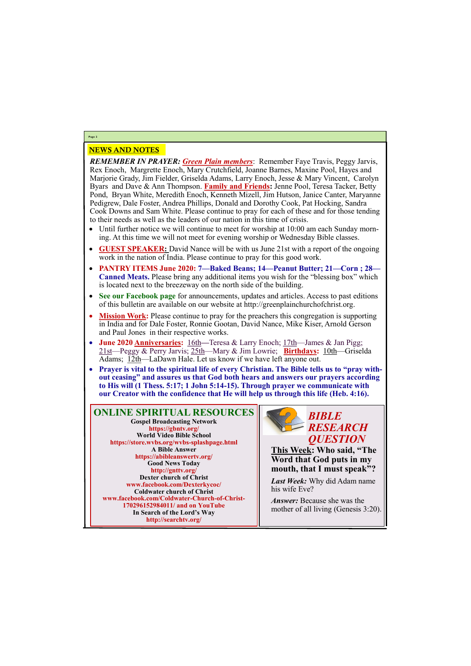# NEWS AND NOTES

#### *REMEMBER IN PRAYER: Green Plain members*: Remember Faye Travis, Peggy Jarvis, Rex Enoch, Margrette Enoch, Mary Crutchfield, Joanne Barnes, Maxine Pool, Hayes and Marjorie Grady, Jim Fielder, Griselda Adams, Larry Enoch, Jesse & Mary Vincent, Carolyn Byars and Dave & Ann Thompson. **Family and Friends:** Jenne Pool, Teresa Tacker, Betty Pond, Bryan White, Meredith Enoch, Kenneth Mizell, Jim Hutson, Janice Canter, Maryanne Pedigrew, Dale Foster, Andrea Phillips, Donald and Dorothy Cook, Pat Hocking, Sandra Cook Downs and Sam White. Please continue to pray for each of these and for those tending to their needs as well as the leaders of our nation in this time of crisis.

- Until further notice we will continue to meet for worship at 10:00 am each Sunday morning. At this time we will not meet for evening worship or Wednesday Bible classes.
- **GUEST SPEAKER:** David Nance will be with us June 21st with a report of the ongoing work in the nation of India. Please continue to pray for this good work.
- **PANTRY ITEMS June 2020: 7—Baked Beans; 14—Peanut Butter; 21—Corn ; 28— Canned Meats.** Please bring any additional items you wish for the "blessing box" which is located next to the breezeway on the north side of the building.
- **See our Facebook page** for announcements, updates and articles. Access to past editions of this bulletin are available on our website at http://greenplainchurchofchrist.org.
- **Mission Work:** Please continue to pray for the preachers this congregation is supporting in India and for Dale Foster, Ronnie Gootan, David Nance, Mike Kiser, Arnold Gerson and Paul Jones in their respective works.
- **June 2020 Anniversaries:** 16th**—**Teresa & Larry Enoch; 17th—James & Jan Pigg; 21st—Peggy & Perry Jarvis; 25th—Mary & Jim Lowrie; **Birthdays:** 10th—Griselda Adams; 12th—LaDawn Hale. Let us know if we have left anyone out.
- Prayer is vital to the spiritual life of every Christian. The Bible tells us to "pray with**out ceasing" and assures us that God both hears and answers our prayers according to His will (1 Thess. 5:17; 1 John 5:14-15). Through prayer we communicate with our Creator with the confidence that He will help us through this life (Heb. 4:16).**

**Page 2**

**ONLINE SPIRITUAL RESOURCES Gospel Broadcasting Network https://gbntv.org/ World Video Bible School https://store.wvbs.org/wvbs-splashpage.html A Bible Answer https://abibleanswertv.org/ Good News Today http://gnttv.org/ Dexter church of Christ www.facebook.com/Dexterkycoc/ Coldwater church of Christ www.facebook.com/Coldwater-Church-of-Christ-**

> **170296152984011/ and on YouTube In Search of the Lord's Way http://searchtv.org/**



**This Week: Who said, "The Word that God puts in my mouth, that I must speak"?**

*Last Week:* Why did Adam name his wife Eve?

*Answer:* Because she was the

mother of all living (Genesis 3:20).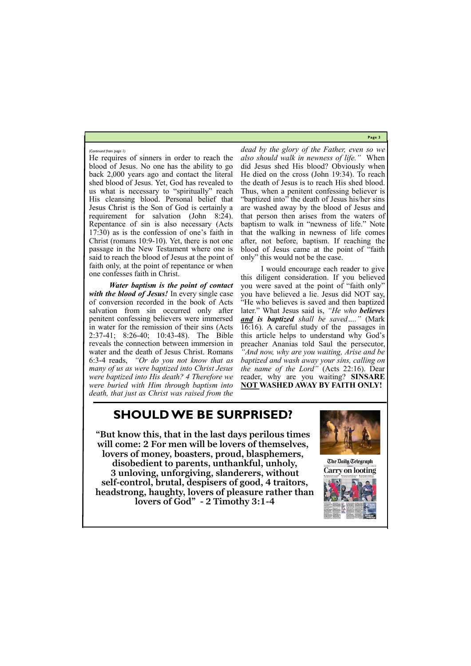**Page 3**

He requires of sinners in order to reach the blood of Jesus. No one has the ability to go back 2,000 years ago and contact the literal shed blood of Jesus. Yet, God has revealed to us what is necessary to "spiritually" reach His cleansing blood. Personal belief that Jesus Christ is the Son of God is certainly a requirement for salvation (John 8:24). Repentance of sin is also necessary (Acts 17:30) as is the confession of one's faith in Christ (romans 10:9-10). Yet, there is not one passage in the New Testament where one is said to reach the blood of Jesus at the point of faith only, at the point of repentance or when one confesses faith in Christ.

*Water baptism is the point of contact with the blood of Jesus!* In every single case of conversion recorded in the book of Acts salvation from sin occurred only after penitent confessing believers were immersed in water for the remission of their sins (Acts 2:37-41; 8:26-40; 10:43-48). The Bible reveals the connection between immersion in water and the death of Jesus Christ. Romans 6:3-4 reads, *"Or do you not know that as many of us as were baptized into Christ Jesus were baptized into His death? 4 Therefore we were buried with Him through baptism into death, that just as Christ was raised from the* 

*dead by the glory of the Father, even so we also should walk in newness of life."* When did Jesus shed His blood? Obviously when He died on the cross (John 19:34). To reach the death of Jesus is to reach His shed blood. Thus, when a penitent confessing believer is "baptized into" the death of Jesus his/her sins are washed away by the blood of Jesus and that person then arises from the waters of baptism to walk in "newness of life." Note that the walking in newness of life comes after, not before, baptism. If reaching the blood of Jesus came at the point of "faith only" this would not be the case.

I would encourage each reader to give this diligent consideration. If you believed you were saved at the point of "faith only" you have believed a lie. Jesus did NOT say, "He who believes is saved and then baptized later." What Jesus said is, *"He who believes and is baptized shall be saved…."* (Mark 16:16). A careful study of the passages in this article helps to understand why God's preacher Ananias told Saul the persecutor, *"And now, why are you waiting, Arise and be baptized and wash away your sins, calling on the name of the Lord"* (Acts 22:16). Dear reader, why are you waiting? **SINSARE NOT WASHED AWAY BY FAITH ONLY!**

#### *(Continued from page 1)*

## **SHOULD WE BE SURPRISED?**

**"But know this, that in the last days perilous times will come: 2 For men will be lovers of themselves, lovers of money, boasters, proud, blasphemers, disobedient to parents, unthankful, unholy, 3 unloving, unforgiving, slanderers, without self-control, brutal, despisers of good, 4 traitors,** 



**The Daily Telegraph Carry on looting**